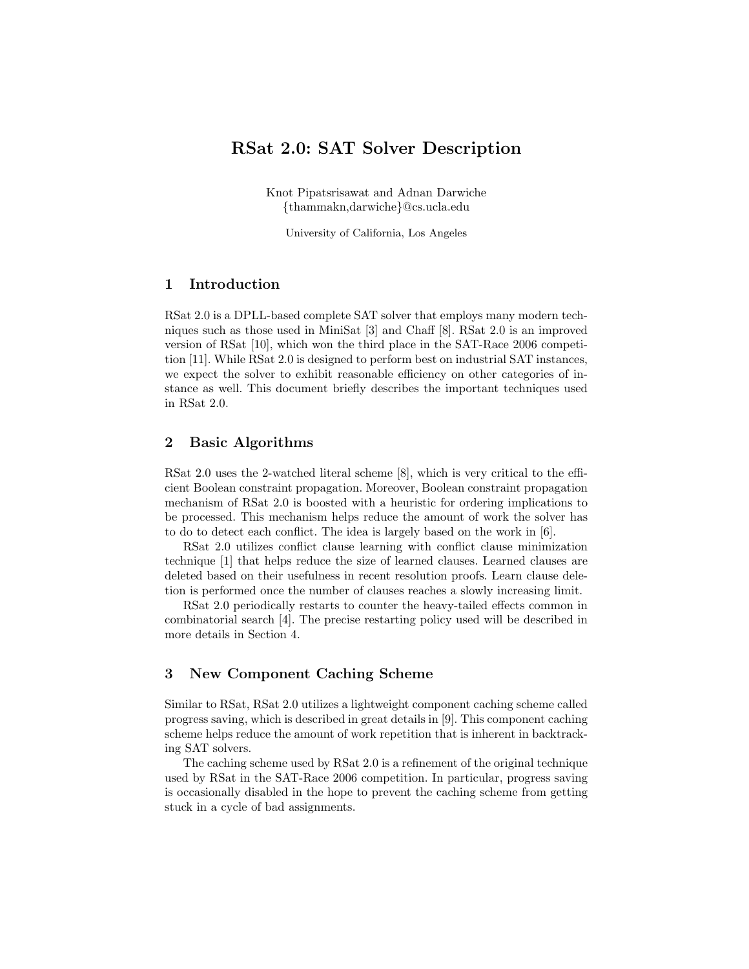# RSat 2.0: SAT Solver Description

Knot Pipatsrisawat and Adnan Darwiche {thammakn,darwiche}@cs.ucla.edu

University of California, Los Angeles

### 1 Introduction

RSat 2.0 is a DPLL-based complete SAT solver that employs many modern techniques such as those used in MiniSat [3] and Chaff [8]. RSat 2.0 is an improved version of RSat [10], which won the third place in the SAT-Race 2006 competition [11]. While RSat 2.0 is designed to perform best on industrial SAT instances, we expect the solver to exhibit reasonable efficiency on other categories of instance as well. This document briefly describes the important techniques used in RSat 2.0.

## 2 Basic Algorithms

RSat 2.0 uses the 2-watched literal scheme [8], which is very critical to the efficient Boolean constraint propagation. Moreover, Boolean constraint propagation mechanism of RSat 2.0 is boosted with a heuristic for ordering implications to be processed. This mechanism helps reduce the amount of work the solver has to do to detect each conflict. The idea is largely based on the work in [6].

RSat 2.0 utilizes conflict clause learning with conflict clause minimization technique [1] that helps reduce the size of learned clauses. Learned clauses are deleted based on their usefulness in recent resolution proofs. Learn clause deletion is performed once the number of clauses reaches a slowly increasing limit.

RSat 2.0 periodically restarts to counter the heavy-tailed effects common in combinatorial search [4]. The precise restarting policy used will be described in more details in Section 4.

# 3 New Component Caching Scheme

Similar to RSat, RSat 2.0 utilizes a lightweight component caching scheme called progress saving, which is described in great details in [9]. This component caching scheme helps reduce the amount of work repetition that is inherent in backtracking SAT solvers.

The caching scheme used by RSat 2.0 is a refinement of the original technique used by RSat in the SAT-Race 2006 competition. In particular, progress saving is occasionally disabled in the hope to prevent the caching scheme from getting stuck in a cycle of bad assignments.